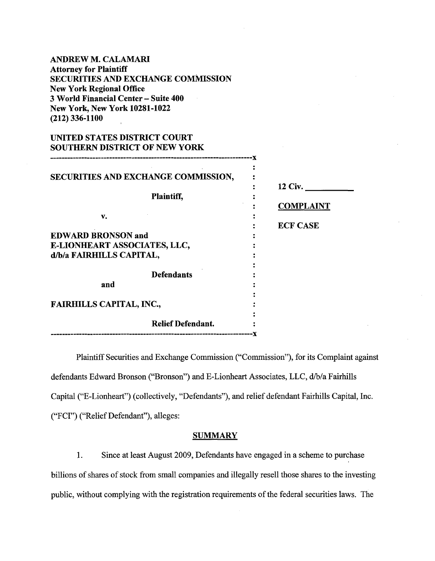ANDREW M. CALAMARI Attorney for Plaintiff SECURITIES AND EXCHANGE COMMISSION New York Regional Office 3 World Financial Center- Suite 400 New York, New York 10281-1022 (212) 336-1100

# UNITED STATES DISTRICT COURT SOUTHERN DISTRICT OF NEW YORK

| SECURITIES AND EXCHANGE COMMISSION, |                  |
|-------------------------------------|------------------|
|                                     | <b>12 Civ.</b>   |
| <b>Plaintiff,</b>                   |                  |
|                                     | <b>COMPLAINT</b> |
| v.                                  |                  |
|                                     | <b>ECF CASE</b>  |
| <b>EDWARD BRONSON and</b>           |                  |
| E-LIONHEART ASSOCIATES, LLC,        |                  |
| d/b/a FAIRHILLS CAPITAL,            |                  |
|                                     |                  |
| <b>Defendants</b>                   |                  |
| and                                 |                  |
|                                     |                  |
| <b>FAIRHILLS CAPITAL, INC.,</b>     |                  |
|                                     |                  |
| <b>Relief Defendant.</b>            |                  |
| -----------------                   |                  |
|                                     |                  |

Plaintiff Securities and Exchange Commission ("Commission"), for its Complaint against defendants Edward Bronson ("Bronson") and E-Lionheart Associates, LLC, d/b/a Fairhills Capital ("E-Lionheart") (collectively, "Defendants"), and relief defendant Fairhills Capital, Inc. ("FCI") ("Relief Defendant"), alleges:

#### **SUMMARY**

1. Since at least August 2009, Defendants have engaged in a scheme to purchase billions of shares of stock from small companies and illegally resell those shares to the investing public, without complying with the registration requirements of the federal securities laws. The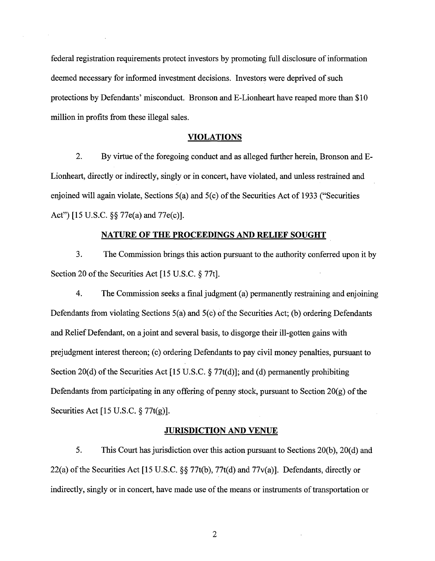federal registration requirements protect investors by promoting full disclosure of information deemed necessary for informed investment decisions. Investors were deprived of such protections by Defendants' misconduct. Bronson and E-Lionheart have reaped more than \$10 million in profits from these illegal sales.

#### **VIOLATIONS**

2. By virtue of the foregoing conduct and as alleged further herein, Bronson and E-Lionheart, directly or indirectly, singly or in concert, have violated, and unless restrained and enjoined will again violate, Sections  $5(a)$  and  $5(c)$  of the Securities Act of 1933 ("Securities Act") [15 U.S.C. §§ 77e(a) and 77e(c)].

#### **NATURE OF THE PROCEEDINGS AND RELIEF SOUGHT**

3. The Commission brings this action pursuant to the authority conferred upon it by Section 20 of the Securities Act [15 U.S.C. § 77t].

4. The Commission seeks a final judgment (a) permanently restraining and enjoining Defendants from violating Sections  $5(a)$  and  $5(c)$  of the Securities Act; (b) ordering Defendants and Relief Defendant, on a joint and several basis, to disgorge their ill-gotten gains with prejudgment interest thereon; (c) ordering Defendants to pay civil money penalties, pursuant to Section 20(d) of the Securities Act [15 U.S.C.  $\S 77t(d)$ ]; and (d) permanently prohibiting Defendants from participating in any offering of penny stock, pursuant to Section  $20(g)$  of the Securities Act [15 U.S.C. § 77t(g)].

## **JURISDICTION AND VENUE**

5. This Court has jurisdiction over this action pursuant to Sections 20(b), 20(d) and 22(a) of the Securities Act [15 U.S.C.  $\S$  77t(b), 77t(d) and 77 $v$ (a)]. Defendants, directly or indirectly, singly or in concert, have made use of the means or instruments of transportation or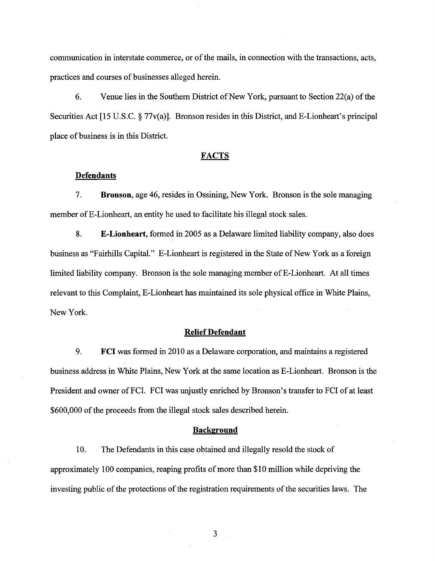communication in interstate commerce, or of the mails, in connection with the transactions, acts, practices and courses of businesses alleged herein.

6. Venue lies in the Southern District of New York, pursuant to Section  $22(a)$  of the Securities Act [15 U.S.C. § 77v(a)]. Bronson resides in this District, and E-Lionheart's principal place of business is in this District.

#### **FACTS**

#### **Defendants**

7. **Bronson,** age 46, resides in Ossining, New York. Bronson is the sole managing member of E-Lionheart, an entity he used to facilitate his illegal stock sales.

8. **E-Lionheart,** formed in 2005 as a Delaware limited liability company, also does business as "Fairhills Capital." E-Lionheart is registered in the State of New York as a foreign limited liability company. Bronson is the sole managing member of E-Lionheart. At all times relevant to this Complaint, E-Lionheart has maintained its sole physical office in White Plains, New York.

#### **Relief Defendant**

9. **FCI** was formed in 2010 as a Delaware corporation, and maintains a registered business address in White Plains, New York at the same location as E-Lionheart. Bronson is the President and owner of FCI. FCI was unjustly enriched by Bronson's transfer to FCI of at least \$600,000 of the proceeds from the illegal stock sales described herein.

#### **Background**

10. The Defendants in this case obtained and illegally resold the stock of approximately 100 companies, reaping profits of more than \$10 million while depriving the investing public of the protections of the registration requirements of the securities laws. The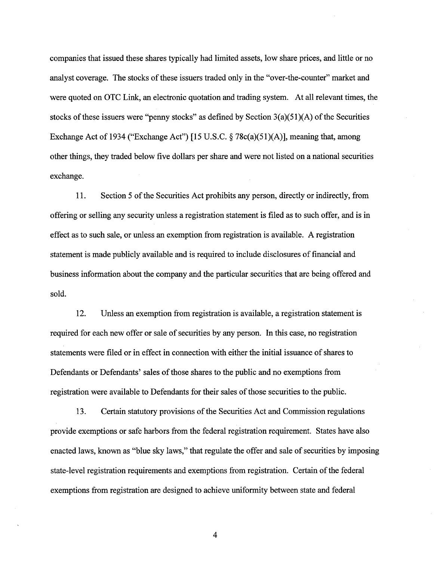companies that issued these shares typically had limited assets, low share prices, and little or no analyst coverage. The stocks of these issuers traded only in the "over-the-counter" market and were quoted on OTC Link, an electronic quotation and trading system. At all relevant times, the stocks of these issuers were "penny stocks" as defined by Section  $3(a)(51)(A)$  of the Securities Exchange Act of 1934 ("Exchange Act") [15 U.S.C.  $\S$  78c(a)(51)(A)], meaning that, among other things, they traded below five dollars per share and were not listed on a national securities exchange.

11. Section 5 of the Securities Act prohibits any person, directly or indirectly, from offering or selling any security unless a registration statement is filed as to such offer, and is in effect as to such sale, or unless an exemption from registration is available. A registration statement is made publicly available and is required to include disclosures of financial and business information about the company and the particular securities that are being offered and sold.

12. Unless an exemption from registration is available, a registration statement is required for each new offer or sale of securities by any person. In this case, no registration statements were filed or in effect in connection with either the initial issuance of shares to Defendants or Defendants' sales of those shares to the public and no exemptions from registration were available to Defendants for their sales of those securities to the public.

13. Certain statutory provisions ofthe Securities Act and Commission regulations provide exemptions or safe harbors from the federal registration requirement. States have also enacted laws, known as "blue sky laws," that regulate the offer and sale of securities by imposing state-level registration requirements and exemptions from registration. Certain of the federal exemptions from registration are designed to achieve uniformity between state and federal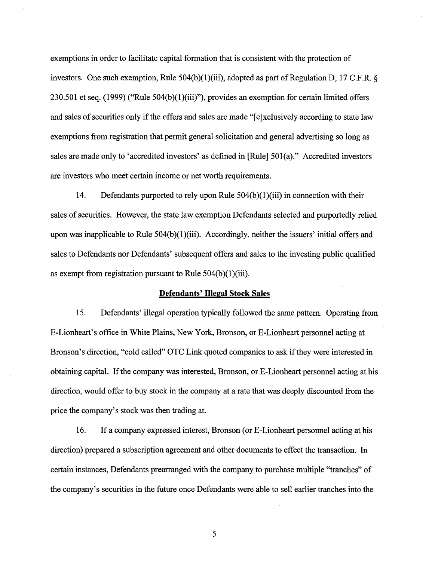exemptions in order to facilitate capital formation that is consistent with the protection of investors. One such exemption, Rule 504(b)(1)(iii), adopted as part of Regulation D, 17 C.F.R. § 230.501 et seq.  $(1999)$  ("Rule 504(b) $(1)$ (iii)"), provides an exemption for certain limited offers and sales of securities only if the offers and sales are made "[e ]xclusively according to state law exemptions from registration that permit general solicitation and general advertising so long as sales are made only to 'accredited investors' as defined in [Rule] 501(a)." Accredited investors are investors who meet certain income or net worth requirements.

14. Defendants purported to rely upon Rule  $504(b)(1)(iii)$  in connection with their sales of securities. However, the state law exemption Defendants selected and purportedly relied upon was inapplicable to Rule 504(b)(1)(iii). Accordingly, neither the issuers' initial offers and sales to Defendants nor Defendants' subsequent offers and sales to the investing public qualified as exempt from registration pursuant to Rule 504(b)(1)(iii).

#### **Defendants' Illegal Stock Sales**

15. Defendants' illegal operation typically followed the same pattern. Operating from E-Lionheart's office in White Plains, New York, Bronson, or E-Lionheart personnel acting at Bronson's direction, "cold called" OTC Link quoted companies to ask if they were interested in obtaining capital. If the company was interested, Bronson, or E-Lionheart personnel acting at his direction, would offer to buy stock in the company at a rate that was deeply discounted from the price the company's stock was then trading at.

16. If a company expressed interest, Bronson (or E-Lionheart personnel acting at his direction) prepared a subscription agreement and other documents to effect the transaction. In certain instances, Defendants prearranged with the company to purchase multiple "tranches" of the company's securities in the future once Defendants were able to sell earlier tranches into the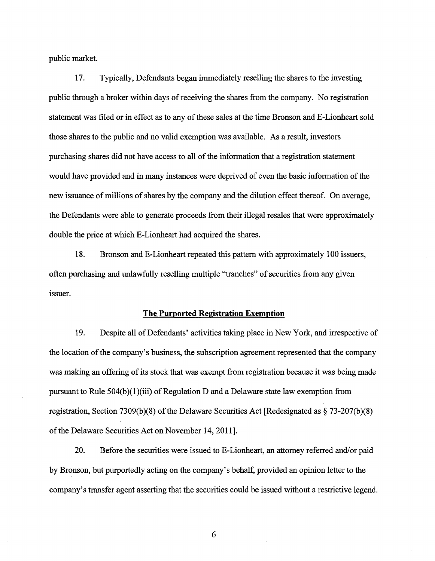public market.

17. Typically, Defendants began immediately reselling the shares to the investing public through a broker within days of receiving the shares from the company. No registration statement was filed or in effect as to any of these sales at the time Bronson and E-Lionheart sold those shares to the public and no valid exemption was available. As a result, investors purchasing shares did not have access to all of the information that a registration statement would have provided and in many instances were deprived of even the basic information of the new issuance of millions of shares by the company and the dilution effect thereof. On average, the Defendants were able to generate proceeds from their illegal resales that were approximately double the price at which E-Lionheart had acquired the shares.

18. Bronson and E-Lionheart repeated this pattern with approximately 100 issuers, often purchasing and unlawfully reselling multiple "tranches" of securities from any given issuer.

### **The Purported Registration Exemption**

19. Despite all of Defendants' activities taking place in New York, and irrespective of the location of the company's business, the subscription agreement represented that the company was making an offering of its stock that was exempt from registration because it was being made pursuant to Rule  $504(b)(1)(iii)$  of Regulation D and a Delaware state law exemption from registration, Section 7309(b)(8) of the Delaware Securities Act [Redesignated as  $\S$  73-207(b)(8) of the Delaware Securities Act on November 14, 2011].

20. Before the securities were issued to E-Lionheart, an attorney referred and/or paid by Bronson, but purportedly acting on the company's behalf, provided an opinion letter to the company's transfer agent asserting that the securities could be issued without a restrictive legend.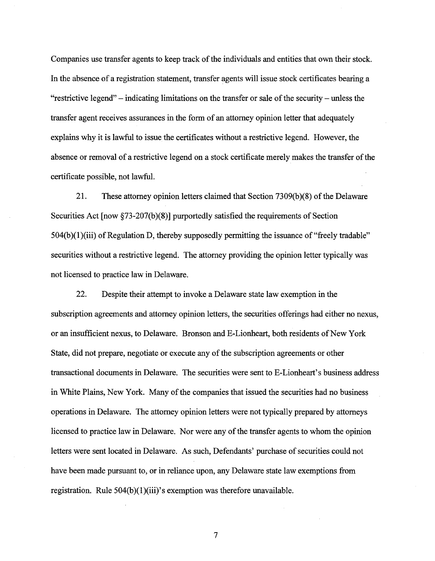Companies use transfer agents to keep track of the individuals and entities that own their stock. In the absence of a registration statement, transfer agents will issue stock certificates bearing a "restrictive legend"  $-$  indicating limitations on the transfer or sale of the security  $-$  unless the transfer agent receives assurances in the form of an attorney opinion letter that adequately explains why it is lawful to issue the certificates without a restrictive legend. However, the absence or removal of a restrictive legend on a stock certificate merely makes the transfer of the certificate possible, not lawful.

21. These attorney opinion letters claimed that Section 7309(b)(8) of the Delaware Securities Act [now §73-207(b)(8)] purportedly satisfied the requirements of Section  $504(b)(1)(iii)$  of Regulation D, thereby supposedly permitting the issuance of "freely tradable" securities without a restrictive legend. The attorney providing the opinion letter typically was not licensed to practice law in Delaware.

22. Despite their attempt to invoke a Delaware state law exemption in the subscription agreements and attorney opinion letters, the securities offerings had either no nexus, or an insufficient nexus, to Delaware. Bronson and E-Lionheart, both residents of New York State, did not prepare, negotiate or execute any of the subscription agreements or other transactional documents in Delaware. The securities were sent to E-Lionheart's business address in White Plains, New York. Many of the companies that issued the securities had no business operations in Delaware. The attorney opinion letters were not typically prepared by attorneys licensed to practice law in Delaware. Nor were any of the transfer agents to whom the opinion letters were sent located in Delaware. As such, Defendants' purchase of securities could not have been made pursuant to, or in reliance upon, any Delaware state law exemptions from registration. Rule  $504(b)(1)(iii)$ 's exemption was therefore unavailable.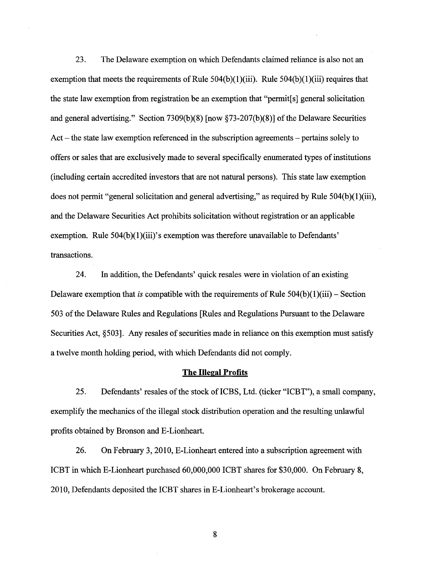23. The Delaware exemption on which Defendants claimed reliance is also not an exemption that meets the requirements of Rule  $504(b)(1)(iii)$ . Rule  $504(b)(1)(iii)$  requires that the state law exemption from registration be an exemption that "permit[s] general solicitation and general advertising." Section 7309(b)(8) [now §73-207(b)(8)] of the Delaware Securities Act  $-$  the state law exemption referenced in the subscription agreements  $-$  pertains solely to offers or sales that are exclusively made to several specifically enumerated types of institutions (including certain accredited investors that are not natural persons). This state law exemption does not permit "general solicitation and general advertising," as required by Rule  $504(b)(1)(iii)$ , and the Delaware Securities Act prohibits solicitation without registration or an applicable exemption. Rule 504(b)(1)(iii)'s exemption was therefore unavailable to Defendants' transactions.

24. In addition, the Defendants' quick resales were in violation of an existing Delaware exemption that *is* compatible with the requirements of Rule  $504(b)(1)(iii)$  – Section 503 of the Delaware Rules and Regulations [Rules and Regulations Pursuant to the Delaware Securities Act, §503]. Any resales of securities made in reliance on this exemption must satisfy a twelve month holding period, with which Defendants did not comply.

### **The Illegal Profits**

25. Defendants' resales of the stock of ICBS, Ltd. (ticker "ICBT"), a small company, exemplify the mechanics of the illegal stock distribution operation and the resulting unlawful profits obtained by Bronson and E-Lionheart.

26. On February 3, 2010, E-Lionheart entered into a subscription agreement with ICBT in which E-Lionheart purchased 60,000,000 ICBT shares for \$30,000. On February 8, 2010, Defendants deposited the ICBT shares in E-Lionheart's brokerage account.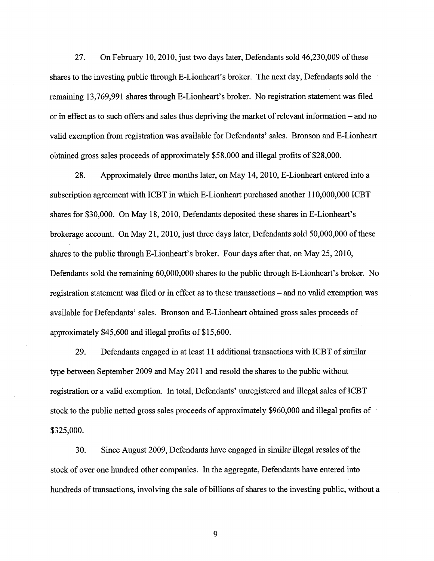27. On February 10, 2010, just two days later, Defendants sold  $46,230,009$  of these shares to the investing public through E-Lionheart's broker. The next day, Defendants sold the remaining 13,769,991 shares through E-Lionheart's broker. No registration statement was filed or in effect as to such offers and sales thus depriving the market of relevant information – and no valid exemption from registration was available for Defendants' sales. Bronson and E-Lionheart obtained gross sales proceeds of approximately \$58,000 and illegal profits of \$28,000.

28. Approximately three months later, on May 14, 2010, E-Lionheart entered into a subscription agreement with ICBT in which E-Lionheart purchased another 110,000,000 ICBT shares for \$30,000. On May 18, 2010, Defendants deposited these shares in E-Lionheart's brokerage account. On May 21, 2010, just three days later, Defendants sold  $50,000,000$  of these shares to the public through E-Lionheart's broker. Four days after that, on May 25, 2010, Defendants sold the remaining 60,000,000 shares to the public through E-Lionheart's broker. No registration statement was filed or in effect as to these transactions – and no valid exemption was available for Defendants' sales. Bronson and E-Lionheart obtained gross sales proceeds of approximately \$45,600 and illegal profits of \$15,600.

29. Defendants engaged in at least 11 additional transactions with ICBT of similar type between September 2009 and May 2011 and resold the shares to the public without registration or a valid exemption. In total, Defendants' unregistered and illegal sales of ICBT stock to the public netted gross sales proceeds of approximately \$960,000 and illegal profits of \$325,000.

30. Since August 2009, Defendants have engaged in similar illegal resales ofthe stock of over one hundred other companies. In the aggregate, Defendants have entered into hundreds of transactions, involving the sale of billions of shares to the investing public, without a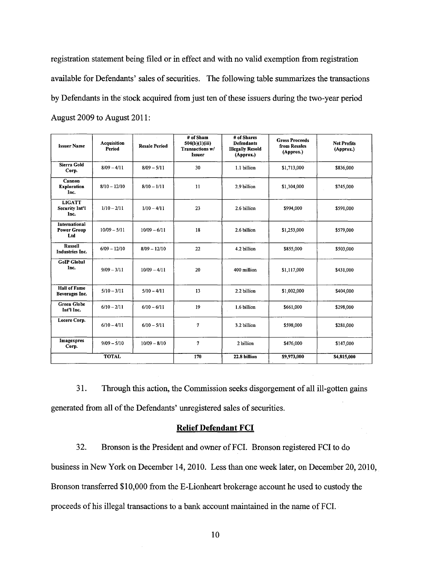registration statement being filed or in effect and with no valid exemption from registration available for Defendants' sales of securities. The following table summarizes the transactions by Defendants in the stock acquired from just ten of these issuers during the two-year period August 2009 to August 2011 :

| <b>Issuer Name</b>                                | Acquisition<br>Period | <b>Resale Period</b> | # of Sham<br>504(b)(1)(iii)<br>Transactions w/<br><b>Issuer</b> | # of Shares<br><b>Defendants</b><br><b>Illegally Resold</b><br>(Approx.) | <b>Gross Proceeds</b><br>from Resales<br>(Approx.) | <b>Net Profits</b><br>(Approx.) |
|---------------------------------------------------|-----------------------|----------------------|-----------------------------------------------------------------|--------------------------------------------------------------------------|----------------------------------------------------|---------------------------------|
| Sierra Gold<br>Corp.                              | $8/09 - 4/11$         | $8/09 - 5/11$        | 30                                                              | 1.1 billion                                                              | \$1,713,000                                        | \$836,000                       |
| Cannon<br><b>Exploration</b><br>Inc.              | $8/10 - 12/10$        | $8/10 - 1/11$        | $\mathbf{11}$                                                   | 2.9 billion                                                              | \$1,304,000                                        | \$745,000                       |
| <b>LIGATT</b><br><b>Security Int'l</b><br>Inc.    | $1/10 - 2/11$         | $1/10 - 4/11$        | 23                                                              | 2.6 billion                                                              | \$994,000                                          | \$591,000                       |
| <b>International</b><br><b>Power Group</b><br>Ltd | $10/09 - 5/11$        | $10/09 - 6/11$       | 18                                                              | 2.6 billion                                                              | \$1,253,000                                        | \$579,000                       |
| <b>Russell</b><br><b>Industries Inc.</b>          | $6/09 - 12/10$        | $8/09 - 12/10$       | 22                                                              | 4.2 billion                                                              | \$855,000                                          | \$503,000                       |
| <b>GoIP</b> Global<br>Inc.                        | $9/09 - 3/11$         | $10/09 - 4/11$       | 20                                                              | 400 million                                                              | \$1,117,000                                        | \$431,000                       |
| <b>Hall of Fame</b><br>Beverages Inc.             | $5/10 - 3/11$         | $5/10 - 4/11$        | 13                                                              | 2.2 billion                                                              | \$1,002,000                                        | \$404,000                       |
| <b>Green Globe</b><br>Int'l Inc.                  | $6/10 - 2/11$         | $6/10 - 6/11$        | 19                                                              | 1.6 billion                                                              | \$661,000                                          | \$298,000                       |
| Lecere Corp.                                      | $6/10 - 4/11$         | $6/10 - 5/11$        | $\tau$                                                          | 3.2 billion                                                              | \$598,000                                          | \$281,000                       |
| Imagexpres<br>Corp.                               | $9/09 - 5/10$         | $10/09 - 8/10$       | 7                                                               | 2 billion                                                                | \$476,000                                          | \$147,000                       |
|                                                   | <b>TOTAL</b>          |                      | 170                                                             | 22.8 billion                                                             | \$9.973,000                                        | \$4,815,000                     |

31. Through this action, the Commission seeks disgorgement of all ill-gotten gains generated from all of the Defendants' unregistered sales of securities.

### **Relief Defendant FCI**

32. Bronson is the President and owner of FCI. Bronson registered FCI to do business in New York on December 14, 2010. Less than one week later, on December 20,2010, Bronson transferred \$10,000 from the E-Lionheart brokerage account he used to custody the proceeds of his illegal transactions to a bank account maintained in the name of FCI.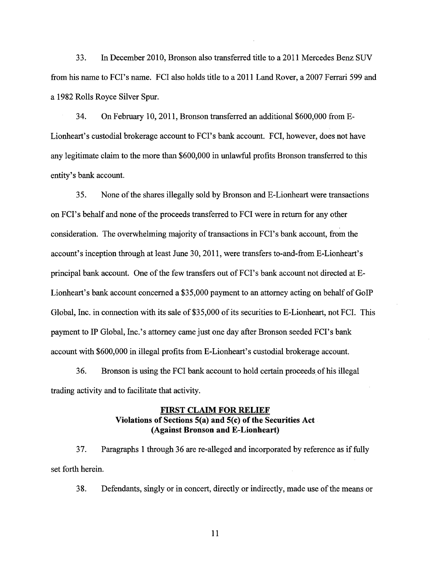33. In December 2010, Bronson also transferred title to a 2011 Mercedes Benz SUV from his name to FCI's name. FCI also holds title to a 2011 Land Rover, a 2007 Ferrari 599 and a 1982 Rolls Royce Silver Spur.

34. On February 10, 2011, Bronson transferred an additional \$600,000 from E-Lionheart's custodial brokerage account to FCI's bank account. FCI, however, does not have any legitimate claim to the more than \$600,000 in unlawful profits Bronson transferred to this entity's bank account.

35. None of the shares illegally sold by Bronson and E-Lionheart were transactions on FCI's behalf and none of the proceeds transferred to FCI were in return for any other consideration. The overwhelming majority of transactions in FCI's bank account, from the account's inception through at least June 30, 2011, were transfers to-and-from E-Lionheart's principal bank account. One of the few transfers out of FCI's bank account not directed at E-Lionheart's bank account concerned a \$35,000 payment to an attorney acting on behalf of GoIP Global, Inc. in connection with its sale of \$35,000 of its securities to E-Lionheart, not FCI. This payment to IP Global, Inc.'s attorney came just one day after Bronson seeded FCI's bank account with \$600,000 in illegal profits from E-Lionheart's custodial brokerage account.

36. Bronson is using the FCI bank account to hold certain proceeds of his illegal trading activity and to facilitate that activity.

# **FIRST CLAIM FOR RELIEF** Violations of Sections 5(a) and 5(c) of the Securities Act **(Against Bronson and E-Lionheart)**

37. Paragraphs 1 through 36 are re-alleged and incorporated by reference as if fully set forth herein.

38. Defendants, singly or in concert, directly or indirectly, made use of the means or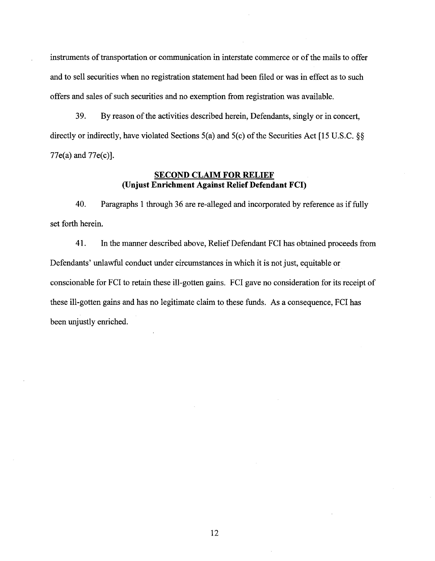instruments of transportation or communication in interstate commerce or of the mails to offer and to sell securities when no registration statement had been filed or was in effect as to such offers and sales of such securities and no exemption from registration was available.

39. By reason of the activities described herein, Defendants, singly or in concert, directly or indirectly, have violated Sections  $5(a)$  and  $5(c)$  of the Securities Act [15 U.S.C. §§ 77e(a) and 77e(c)].

## **SECOND CLAIM FOR RELIEF (Unjust Enrichment Against Relief Defendant FCI)**

40. Paragraphs 1 through 36 are re-alleged and incorporated by reference as if fully set forth herein.

41. In the manner described above, ReliefDefendant FCI has obtained proceeds from Defendants' unlawful conduct under circumstances in which it is not just, equitable or conscionable for FCI to retain these ill-gotten gains. FCI gave no consideration for its receipt of these ill-gotten gains and has no legitimate claim to these funds. As a consequence, FCI has been unjustly enriched.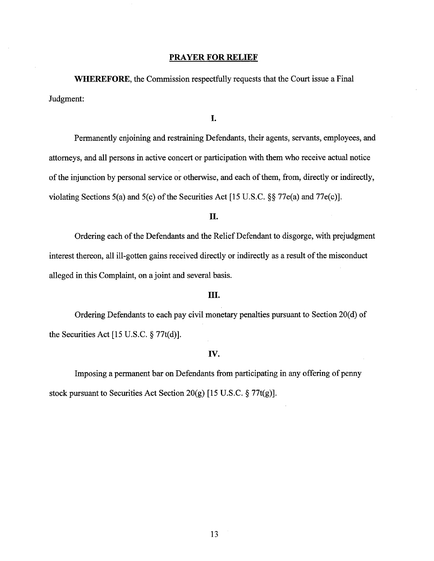#### **PRAYER FOR RELIEF**

**WHEREFORE,** the Commission respectfully requests that the Court issue a Final Judgment:

I.

Permanently enjoining and restraining Defendants, their agents, servants, employees, and attorneys, and all persons in active concert or participation with them who receive actual notice of the injunction by personal service or otherwise, and each of them, from, directly or indirectly, violating Sections 5(a) and 5(c) of the Securities Act [15 U.S.C.  $\S$ § 77e(a) and 77e(c)].

II.

Ordering each of the Defendants and the Relief Defendant to disgorge, with prejudgment interest thereon, all ill-gotten gains received directly or indirectly as a result of the misconduct alleged in this Complaint, on a joint and several basis.

## III.

Ordering Defendants to each pay civil monetary penalties pursuant to Section 20(d) of the Securities Act  $[15 \text{ U.S.C.} \S 77t(d)].$ 

## IV.

Imposing a permanent bar on Defendants from participating in any offering of penny stock pursuant to Securities Act Section 20(g) [15 U.S.C. § 77t(g)].